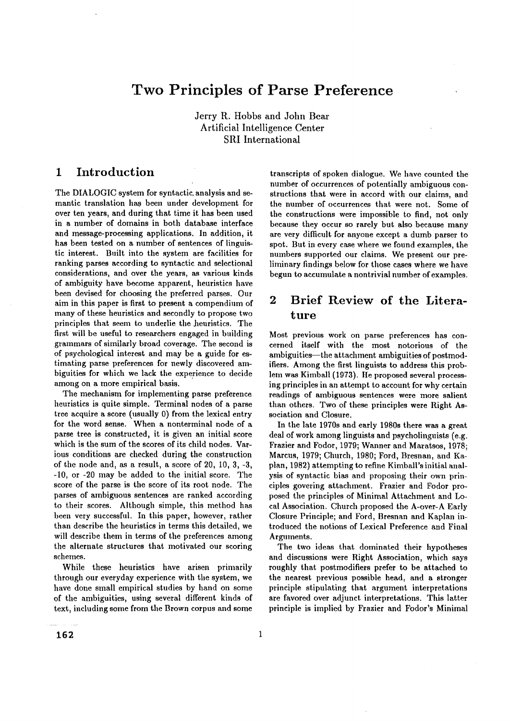# **Two Principles of Parse Preference**

Jerry R. Hobbs and John Bear Artificial Intelligence Center SRI International

#### **1 Introduction**

The DIALOGIC system for syntactic, analysis and semantic translation has been under development for over ten years, and during that time it has been used in a number of domains in both database interface and message-processing applications. In addition, it has been tested on a number of sentences of linguistic interest. Built into the system are facilities for ranking parses according to syntactic and selectional considerations, and over the years, as various kinds of ambiguity have become apparent, heuristics have been devised for choosing the preferred parses. Our aim in this paper is first to present a compendium of many of these heuristics and secondly to propose two principles that seem to underlie the heuristics. The first will be useful to researchers engaged in building grammars of similarly broad coverage. The second is of psychological interest and may be a guide for estimating parse preferences for newly discovered ambiguities for which we lack the experience to decide among on a more empirical basis.

The mechanism for implementing parse preference heuristics is quite simple. Terminal nodes of a parse tree acquire a score (usually 0) from the lexical entry for the word sense. When a nonterminal node of a parse tree is constructed, it is given an initial score which is the sum of the scores of its child nodes. Various conditions are checked during the construction of the node and, as a result, a score of 20, 10, 3, -3, -10, or -20 may be added to the initial score. The score of the parse is the score of its root node. The parses of ambiguous sentences are ranked according to their scores. Although simple, this method has been very successful. In this paper, however, rather than describe the heuristics in terms this detailed, we will describe them in terms of the preferences among the alternate structures that motivated our scoring schemes.

While these heuristics have arisen primarily through our everyday experience with the system, we have done small empirical studies by hand on some of the ambiguities, using several different kinds of text, including some from the Brown corpus and some

transcripts of spoken dialogue. We have counted the number of occurrences of potentially ambiguous constructions that were in accord with our claims, and the number of occurrences that were not. Some of the constructions were impossible to find, not only because they occur so rarely but also because many are very difficult for anyone except a dumb parser to spot. But in every case where we found examples, the numbers supported our claims. We present our preliminary findings below for those eases where we have begun to accumulate a nontrivial number of examples.

### 2 Brief Review of the Litera**ture**

Most previous work on parse preferences has concerned itself with the most notorious of the ambiguities--the attachment ambiguities of postmodifiers. Among the first linguists to address this problem was Kimball (1973). He proposed several processing principles in an attempt to account for why certain readings of ambiguous sentences were more salient than others. Two of these principles were Right Association and Closure.

In the late 1970s and early 1980s there was a great deal of work among linguists and psycholinguists (e.g. Frazier and Fodor, 1979; Wanner and Maratsos, 1978; Marcus, 1979; Church, 1980; Ford, Bresnan, and Kaplan, 1982) attempting to refine Kimbali's initial analysis of syntactic bias and proposing their own principles govering attachment. Frazier and Fodor pro~ posed the principles of Minimal Attachment and Local Association. Church proposed the A-over-A Early Closure Principle; and Ford, Bresnan and Kaplan im troduced the notions of Lexical Preference and Final Arguments.

The two ideas that dominated their hypotheses and discussions were Right Association, which says roughly that postmodifiers prefer to be attached to the nearest previous possible head, and a stronger principle stipulating that argument interpretations are favored over adjunct interpretations. This latter principle is implied by Frazier and Fodor's Minimal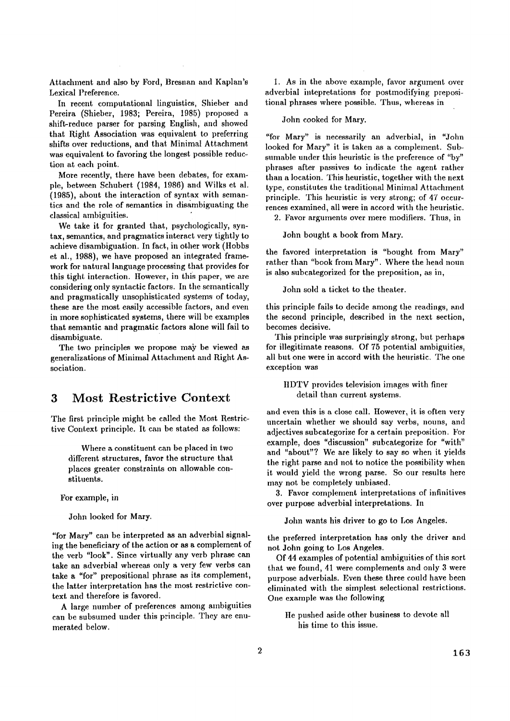Attachment and also by Ford, Bresnan and Kaplan's Lexical Preference.

In recent computational linguistics, Shieber and Pereira (Shieber, 1983; Pereira, 1985) proposed a shift-reduce parser for parsing English, and showed that Right Association was equivalent to preferring shifts over reductions, and that Minimal Attachment was equivalent to favoring the longest possible reduction at each point.

More recently, there have been debates, for example, between Schubert (1984, 1986) and Wilks et al. (1985), about the interaction of syntax with semantics and the role of semantics in disambiguating the classical ambiguities.

We take it for granted that, psychologically, syntax, semantics, and pragmatics interact very tightly to achieve disambiguation. In fact, in other work (Hobbs et al., t988), we have proposed an integrated framework for natural language processing that provides for this tight interaction. However, in this paper, we are considering only syntactic factors. In the semantically and pragmatically unsophisticated systems of today, these are the most easily accessible factors, and even in more sophisticated systems, there will be examples that semantic and pragmatic factors alone will fail to disambiguate.

The two principles we propose may be viewed as generalizations of Minimal Attachment and Right Association.

#### **3 Most Restrictive Context**

The first principle might be called the Most Restrictive Context principle. It can be stated as follows:

Where a constituent can be placed in two different structures, favor the structure that places greater constraints on allowable constituents.

For example, in

John looked for Mary.

"for Mary" can be interpreted as an adverbial signaling the beneficiary of the action or as a complement of the verb "look". Since virtually any verb phrase can take an adverbial whereas only a very few verbs can take a "for" prepositional phrase as its complement, the latter interpretation has the most restrictive context and therefore is favored.

A large number of preferences among ambiguities can be subsumed under this principle. They are enumerated below.

1. As in the above example, favor argument over adverbial intepretations for postmodifying prepositional phrases where possible. Thus, whereas in

#### John cooked for Mary.

"for Mary" is necessarily an adverbial, in "John looked for Mary" it is taken as a complement. Subsumable under this heuristic is the preference of "by" phrases after passives to indicate the agent rather than a location. This heuristic, together with the next type, constitutes the traditional Minimal Attachment principle. This heuristic is very strong; of 47 occurrences examined, all were in accord with the heuristic.

2. Favor arguments over mere modifiers. Thus, in

John bought a book from Mary.

the favored interpretation is "bought from Mary" rather than "book from Mary". Where the head noun is also subcategorized for the preposition, as in,

John sold a ticket to the theater.

this principle fails to decide among the readings, and the second principle, described in the next section, becomes decisive.

This principle was surprisingly strong, but perhaps for illegitimate reasons. Of 75 potential ambiguities, all but one were in accord with the heuristic. The one exception was

IIDTV provides television images with finer detail than current systems.

and even this is a close call. However, it is often very uncertain whether we should say verbs, nouns, and adjectives subcategorize for a certain preposition. For example, does "discussion" subcategorize for "with" and "about"? We are likely to say so when it yields the right parse and not to notice the possibility when it would yield the wrong parse. So our results here may not be completely unbiased.

3. Favor complement interpretations of infinitives over purpose adverbial interpretations. In

John wants his driver to go to Los Angeles.

the preferred interpretation has only the driver and not John going to Los Angeles.

Of 44 examples of potential ambiguities of this sort that we found, 41 were complements and only 3 were purpose adverbials. Even these three could have been eliminated with the simplest seleetional restrictions. One example was the following

tie pushed aside other business to devote all his time to this issue.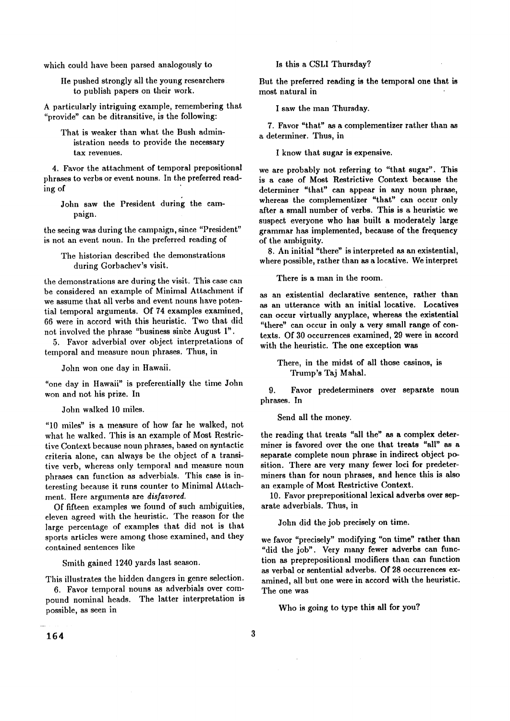which could have been parsed analogously to

He pushed strongly all the young researchers to publish papers on their work.

A particularly intriguing example, remembering that "provide" can be ditransitive, is the following:

That is weaker than what the Bush administration needs to provide the necessary tax revenues.

4. Favor the attachment of temporal prepositional phrases to verbs or event nouns. In the preferred reading of

John saw the President during the campaign.

the seeing was during the campaign, since "President" is not an event noun. In the preferred reading of

The historian described the demonstrations during Gorbachev's visit.

the demonstrations are during the visit. This case can be considered an example of Minimal Attachment if we assume that all verbs and event nouns have potential temporal arguments. Of 74 examples examined, 66 were in accord with this heuristic. Two that did not involved the phrase "business since August 1".

5. Favor adverbial over object interpretations of temporal and measure noun phrases. Thus, in

John won one day in Hawaii.

"one day in tIawaii" is preferentially the time John won and not his prize. In

John walked 10 miles.

"10 miles" is a measure of how far he walked, not what he walked. This is an example of Most Restrictive Context because noun phrases, based on syntactic criteria alone, can always be the object of a transitive verb, whereas only temporal and measure noun phrases can function as adverbials. This case is interesting because it runs counter to Minimal Attachment. Here arguments are *disfavored.* 

Of fifteen examples we found of such ambiguities, eleven agreed with the heuristic. The reason for the large percentage of examples that did not is that sports articles were among those examined, and they contained sentences like

Smith gained 1240 yards last season.

This illustrates the hidden dangers in genre selection.

6. Favor temporal nouns as adverbials over compound nominal heads. The latter interpretation is possible, as seen in

Is this a CSLI Thursday?

But the preferred reading is the temporal one that is most natural in

I saw the man Thursday.

7. Favor "that" as a complementizer rather than as a determiner. Thus, in

I know that sugar is expensive.

we are probably not referring to "that sugar". This is a case of Most Restrictive Context because the determiner "that" can appear in any noun phrase, whereas the complementizer "that" can occur only after a small number of verbs. This is a heuristic we suspect everyone who has built a moderately large grammar has implemented, because of the frequency of the ambiguity.

8. An initial "there" is interpreted as an existential, where possible, rather than as a locative. We interpret

There is a man in the room.

as an existential declarative sentence, rather than as an utterance with an initial locative. Locatives can occur virtually anyplace, whereas the existential "there" can occur in only a very small range of contexts. Of 30 occurrences examined, 29 were in accord with the heuristic. The one exception was

There, in the midst of all those casinos, is 'Ptump's Taj Mahal.

9. Favor predeterminers over separate noun phrases. In

Send all the money.

the reading that treats "all the" as a complex determiner is favored over the one that treats "all" as a separate complete noun phrase in indirect object position. There are very many fewer loci for predeterminers than for noun phrases, and hence this is also an example of Most Restrictive Context.

10. Favor preprepositional lexical adverbs over separate adverbials. Thus, in

John did the job precisely on time.

we favor "precisely" modifying "on time" rather than "did the job". Very many fewer adverbs can function as preprepositional modifiers than can function as verbal or sentential adverbs. Of 28 occurrences examined, all but one were in accord with the heuristic. The one was

Who is going to type this all for you?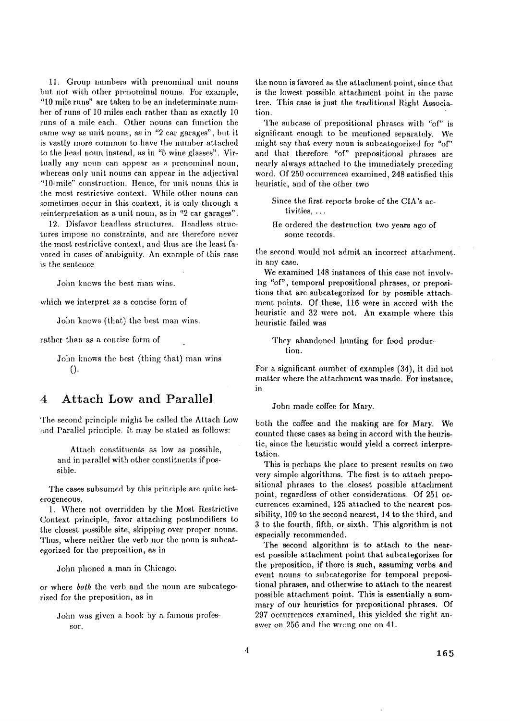11. Group numbers with prenominal unit nouns but not with other prenominal nouns. For example, *"I0* mile runs" are taken to be an indeterminate number of runs of l0 miles each rather than as exactly l0 runs of a mile each. Other nouns can function the same way as unit nouns, as in "2 car garages", but it is vastly more common to have the number attached to the head noun instead, as in "5 wine glasses". Virtually any noun can appear as a prcnominal noun, whereas only unit nouns can appear in the adjectival "10-mile" construction. Hence, for unit nouns this is the most restrictive context. While other nouns can sometimes occur in this context, it is only through a reinterpretation as a unit noun, as in "2 car garages".

12. Disfavor headless structures. Headless structures impose no constraints, and are therefore never the most restrictive context, and thus are the least favored in cases of ambiguity. An example of this case is the sentence

John knows the best man wins.

which we interpret as a concise form of

John knows (that) the best man wins.

rather than as a concise form of

John knows the best (thing that) man wins  $()$ .

### **4 Attach Low and Parallel**

The second principle might be called the Attach Low and Parallel principle. It may be stated as follows:

Attach constituents as low as possible, and in parallel with other constituents ifpossible.

The cases subsumed by this principle are quite heterogeneous.

1. Where not overridden by the Most Restrictive Context principle, favor attaching postmodifiers to the closest possible site, skipping over proper nouns. Thus, where neither the verb nor the noun is subcategorized for the preposition, as in

John phoned a man in Chicago.

or where *both* the verb and the noun are subcategorized for the preposition, as in

**John was given a book by a famous profes**sor.

the noun is favored as the attachment point, since that is the lowest possible attachment point in the parse tree. This case is just the traditional Right Association.

The subcase of prepositional phrases with "of" is significant enough to be mentioned separately. We might say that every noun is subcategorized for "of" and that therefore "of" prepositional phrases are nearly always attached to the immediately preceding word. Of 250 occurrences examined, 248 satisfied this heuristic, and of the other two

Since the first reports broke of the CIA's activities, ...

He ordered the destruction two years ago of some records.

the second would not admit an incorrect attachment. in any case.

We examined 148 instances of this case not involving "of", temporal prepositional phrases, or prepositions that are subcategorized for by possible attachment points. Of these, 116 were in accord with the heuristic and 32 were not. An example where this heuristic failed was

They abandoned hunting for food production.

For a significant number of examples (34), it did not matter where the attachment was made. For instance, in

John made coffee for Mary.

both the coffee and the making are for Mary. We counted these cases as being in accord with the heuristic, since the heuristic would yield a correct interpretation.

This is perhaps the place to present results on two very simple algorithms. The first is to attach prepositional phrases to the closest possible attachment point, regardless of other considerations. Of 251 occurrences examined, 125 attached to the nearest possibility, I09 to the second nearest, 14 to the third, and 3 to the fourth, fifth, or sixth. This algorithm is not especially recommended.

The second algorithm is to attach to the nearest possible attachment point that subeategorizes for the preposition, if there is such, assuming verbs and event nouns to subcategorize for temporal prepositional phrases, and otherwise to attach to the nearest possible attachment point. This is essentially a summary of our heuristics for prepositional phrases. Of 297 occurrences examined, this yielded the right answer on 256 and the wrong one on 41.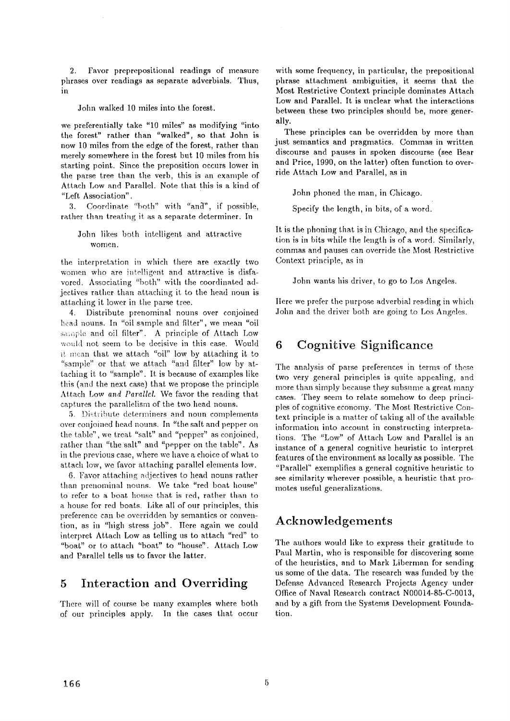2. Favor preprepositional readings of measure phrases over readings as separate adverbials. Thus, in

John walked 10 miles into the forest..

we preferentially take "10 miles" as modifying "into the forest" rather than "walked", so that John is now 10 miles from the edge of the forest, rather than merely somewhere in the forest but 10 miles from his starting point. Since the preposition occurs lower in the parse tree than the verb, this is an example of Attach Low and Parallel. Note that this is a kind of "Left Association".

3. Coordinate "both" with "and", if possible, rather than treating it as a separate determiner. In

John likes both intelligent and attractive women.

the interpretation in which there are exactly two women who are intelligent and attractive is disfavored. Associating "both" with the coordinated adjectives rather than attaching it to the head noun is attaching it lower in the parse tree.

4. Distribute prenominal nouns over conjoined bead nouns. In "oil sample and filter", we mean "oil sample and oil filter". A principle of Attach Low would not seem to be decisive in this case. Would it mean that we attach "oil" low by attaching it to "sample" or that we attach "and filter" low by attaching it to "sample". It is because of examples like this (and the next case) that we propose the principle Attach Low *and Parallel.* We favor the reading that captures the parallelism of the two head nouns.

5. Distribute determiners and noun complements over conjoined head nouns. In "the salt and pepper on the table", we treat "salt" and "pepper" as conjoined, rather than "the salt" and "pepper on the table". As in the previous case, where we have a choice of what to attach low, we favor attaching parallel elements low.

6. Favor attaching adjectives to head nouns rather than prenominal nouns. We take "red boat house" to refer to a boat house that is red, rather than to a house for red boats. Like all of our principles, this preference can be overridden by semantics or convention, as in "high stress job". IIere again we could interpret Attach Low as telling us to attach "red" to "boat" or to attach "boat" to "house". Attach Low and Parallel tells us to favor the latter.

### **5 Interaction and Overriding**

There will of course be many examples where both of our principles apply. In the cases that occur with some frequency, in particular, the prepositional phrase attachment ambiguities, it seems that the Most Restrictive Context principle dominates Attach Low and Parallel. It is unclear what the interactions between these two principles should be, more generally.

These principles can be overridden by more than just semantics and pragmatics. Commas in written discourse and pauses in spoken discourse (see Bear and Price, 1990, on the latter) often function to override Attach Low and Parallel, as in

John phoned the man, in Chicago.

Specify the length, in bits, of a word.

It is the phoning that is in Chicago, and the specification is in bits while the length is of a word. Similarly, commas and pauses can override the Most Restrictive Context principle, as in

John wants his driver, to go to Los Angeles.

Itere we prefer the purpose adverbial reading in which John and the driver both are going to Los Angeles.

# **6 Cognitive Significance;**

The analysis of parse preferences in terms of these two very general principles is quite appealing, and more than simply because they subsume a great many cases. They seem to relate somehow to deep principles of cognitive economy. The Most Restrictive Context principle is a matter of taking all of the available information into account in constructing interpretations. The "Low" of Attach bow and Parallel is an instance of a general cognitive heuristic to interpret features of the environment as locally as possible. The "Parallel" exemplifies a general cognitive heuristic to see similarity wherever possible, a heuristic that promotes useful generalizations.

# **Acknowledgements**

The authors would like to express their gratitude to Paul Martin, who is responsible for discovering some of the heuristics, and to Mark Liberman for sending us some of the data. The research was funded by the Defense Advanced Research Projects Agency under Office of Naval Research contract N00014-85-C-0013, and by a gift from the Systems Development Foundation.